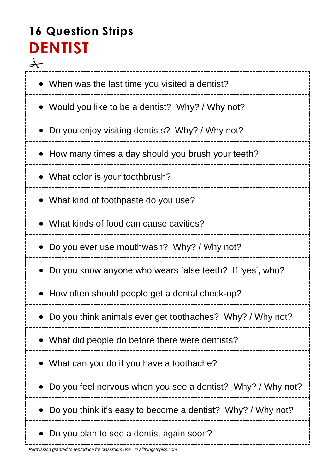# **16 Question Strips DENTIST**

 $\frac{1}{\sqrt{1-\frac{1}{2}}}$ ------------------ When was the last time you visited a dentist? Would you like to be a dentist? Why? / Why not? Do you enjoy visiting dentists? Why? / Why not? How many times a day should you brush your teeth? What color is your toothbrush? What kind of toothpaste do you use? What kinds of food can cause cavities? • Do you ever use mouthwash? Why? / Why not? Do you know anyone who wears false teeth? If 'yes', who? How often should people get a dental check-up? Do you think animals ever get toothaches? Why? / Why not? What did people do before there were dentists? What can you do if you have a toothache? Do you feel nervous when you see a dentist? Why? / Why not? • Do you think it's easy to become a dentist? Why? / Why not? • Do you plan to see a dentist again soon?